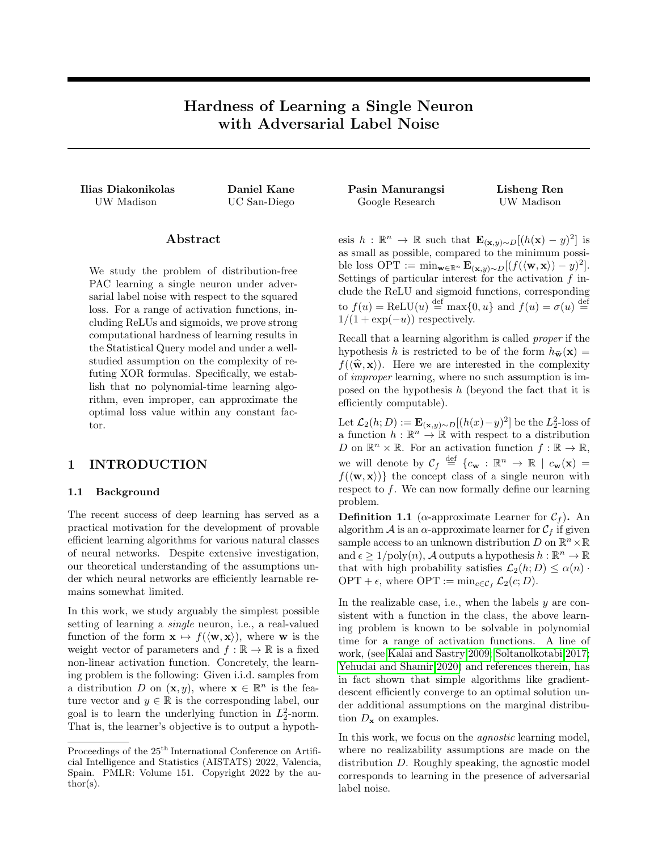# Hardness of Learning a Single Neuron with Adversarial Label Noise

UW Madison UC San-Diego Google Research UW Madison

## Abstract

We study the problem of distribution-free PAC learning a single neuron under adversarial label noise with respect to the squared loss. For a range of activation functions, including ReLUs and sigmoids, we prove strong computational hardness of learning results in the Statistical Query model and under a wellstudied assumption on the complexity of refuting XOR formulas. Specifically, we establish that no polynomial-time learning algorithm, even improper, can approximate the optimal loss value within any constant factor.

### 1 INTRODUCTION

#### 1.1 Background

The recent success of deep learning has served as a practical motivation for the development of provable efficient learning algorithms for various natural classes of neural networks. Despite extensive investigation, our theoretical understanding of the assumptions under which neural networks are efficiently learnable remains somewhat limited.

In this work, we study arguably the simplest possible setting of learning a single neuron, i.e., a real-valued function of the form  $\mathbf{x} \mapsto f(\langle \mathbf{w}, \mathbf{x} \rangle)$ , where w is the weight vector of parameters and  $f : \mathbb{R} \to \mathbb{R}$  is a fixed non-linear activation function. Concretely, the learning problem is the following: Given i.i.d. samples from a distribution D on  $(\mathbf{x}, y)$ , where  $\mathbf{x} \in \mathbb{R}^n$  is the feature vector and  $y \in \mathbb{R}$  is the corresponding label, our goal is to learn the underlying function in  $L_2^2$ -norm. That is, the learner's objective is to output a hypoth-

Ilias Diakonikolas Daniel Kane Pasin Manurangsi Lisheng Ren

esis  $h: \mathbb{R}^n \to \mathbb{R}$  such that  $\mathbf{E}_{(\mathbf{x},y)\sim D}[(h(\mathbf{x})-y)^2]$  is as small as possible, compared to the minimum possible loss OPT := min<sub>w∈ℝ</sub>n  $\mathbf{E}_{(\mathbf{x},y)\sim D}[(f(\langle \mathbf{w}, \mathbf{x} \rangle) - y)^2].$ Settings of particular interest for the activation  $f$  include the ReLU and sigmoid functions, corresponding to  $f(u) = \text{ReLU}(u) \stackrel{\text{def}}{=} \max\{0, u\}$  and  $f(u) = \sigma(u) \stackrel{\text{def}}{=}$  $1/(1 + \exp(-u))$  respectively.

Recall that a learning algorithm is called proper if the hypothesis h is restricted to be of the form  $h_{\hat{\mathbf{w}}}(\mathbf{x}) =$  $f(\langle \hat{\mathbf{w}}, \mathbf{x} \rangle)$ . Here we are interested in the complexity of improper learning, where no such assumption is imposed on the hypothesis  $h$  (beyond the fact that it is efficiently computable).

Let  $\mathcal{L}_2(h; D) := \mathbf{E}_{(\mathbf{x}, y) \sim D}[(h(x) - y)^2]$  be the  $L_2^2$ -loss of a function  $h : \mathbb{R}^n \to \mathbb{R}$  with respect to a distribution D on  $\mathbb{R}^n \times \mathbb{R}$ . For an activation function  $f : \mathbb{R} \to \mathbb{R}$ , we will denote by  $\mathcal{C}_f \stackrel{\text{def}}{=} \{c_{\bf w} : \mathbb{R}^n \to \mathbb{R} \mid c_{\bf w}({\bf x}) =$  $f(\langle \mathbf{w}, \mathbf{x} \rangle)$  the concept class of a single neuron with respect to  $f$ . We can now formally define our learning problem.

**Definition 1.1** ( $\alpha$ -approximate Learner for  $\mathcal{C}_f$ ). An algorithm A is an  $\alpha$ -approximate learner for  $\mathcal{C}_f$  if given sample access to an unknown distribution  $D$  on  $\mathbb{R}^n \times \mathbb{R}$ and  $\epsilon \geq 1/\text{poly}(n)$ , A outputs a hypothesis  $h : \mathbb{R}^n \to \mathbb{R}$ that with high probability satisfies  $\mathcal{L}_2(h; D) \leq \alpha(n)$ . OPT +  $\epsilon$ , where OPT := min<sub>c∈Cf</sub>  $\mathcal{L}_2(c; D)$ .

In the realizable case, i.e., when the labels  $y$  are consistent with a function in the class, the above learning problem is known to be solvable in polynomial time for a range of activation functions. A line of work, (see [Kalai and Sastry 2009;](#page-8-0) [Soltanolkotabi 2017;](#page-8-1) [Yehudai and Shamir 2020\)](#page-8-2) and references therein, has in fact shown that simple algorithms like gradientdescent efficiently converge to an optimal solution under additional assumptions on the marginal distribution  $D_{\mathbf{x}}$  on examples.

In this work, we focus on the agnostic learning model, where no realizability assumptions are made on the distribution D. Roughly speaking, the agnostic model corresponds to learning in the presence of adversarial label noise.

Proceedings of the  $25<sup>th</sup>$  International Conference on Artificial Intelligence and Statistics (AISTATS) 2022, Valencia, Spain. PMLR: Volume 151. Copyright 2022 by the au- $\text{thor}(s)$ .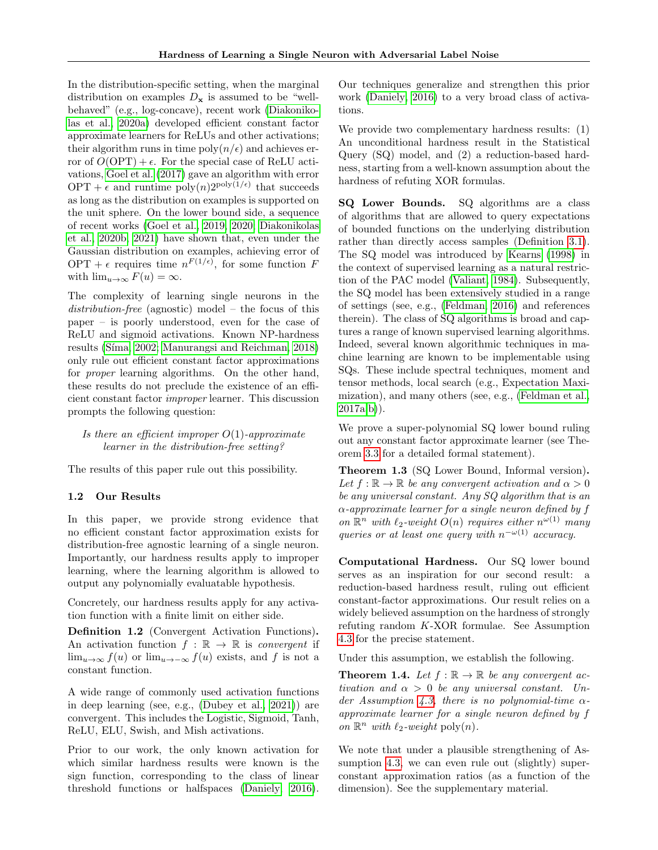In the distribution-specific setting, when the marginal distribution on examples  $D_x$  is assumed to be "wellbehaved" (e.g., log-concave), recent work [\(Diakoniko](#page-8-3)[las et al., 2020a\)](#page-8-3) developed efficient constant factor approximate learners for ReLUs and other activations; their algorithm runs in time  $\text{poly}(n/\epsilon)$  and achieves error of  $O(OPT) + \epsilon$ . For the special case of ReLU activations, [Goel et al.](#page-8-4) [\(2017\)](#page-8-4) gave an algorithm with error  $OPT + \epsilon$  and runtime  $poly(n)2^{poly(1/\epsilon)}$  that succeeds as long as the distribution on examples is supported on the unit sphere. On the lower bound side, a sequence of recent works [\(Goel et al., 2019,](#page-8-5) [2020;](#page-8-6) [Diakonikolas](#page-8-7) [et al., 2020b,](#page-8-7) [2021\)](#page-8-8) have shown that, even under the Gaussian distribution on examples, achieving error of OPT +  $\epsilon$  requires time  $n^{F(1/\epsilon)}$ , for some function F with  $\lim_{u\to\infty} F(u) = \infty$ .

The complexity of learning single neurons in the distribution-free (agnostic) model – the focus of this paper – is poorly understood, even for the case of ReLU and sigmoid activations. Known NP-hardness results (Síma, 2002; [Manurangsi and Reichman, 2018\)](#page-8-10) only rule out efficient constant factor approximations for *proper* learning algorithms. On the other hand, these results do not preclude the existence of an efficient constant factor improper learner. This discussion prompts the following question:

## Is there an efficient improper  $O(1)$ -approximate learner in the distribution-free setting?

The results of this paper rule out this possibility.

#### 1.2 Our Results

In this paper, we provide strong evidence that no efficient constant factor approximation exists for distribution-free agnostic learning of a single neuron. Importantly, our hardness results apply to improper learning, where the learning algorithm is allowed to output any polynomially evaluatable hypothesis.

Concretely, our hardness results apply for any activation function with a finite limit on either side.

<span id="page-1-0"></span>Definition 1.2 (Convergent Activation Functions). An activation function  $f : \mathbb{R} \to \mathbb{R}$  is convergent if  $\lim_{u\to\infty} f(u)$  or  $\lim_{u\to-\infty} f(u)$  exists, and f is not a constant function.

A wide range of commonly used activation functions in deep learning (see, e.g., [\(Dubey et al., 2021\)](#page-8-11)) are convergent. This includes the Logistic, Sigmoid, Tanh, ReLU, ELU, Swish, and Mish activations.

Prior to our work, the only known activation for which similar hardness results were known is the sign function, corresponding to the class of linear threshold functions or halfspaces [\(Daniely, 2016\)](#page-8-12). Our techniques generalize and strengthen this prior work [\(Daniely, 2016\)](#page-8-12) to a very broad class of activations.

We provide two complementary hardness results: (1) An unconditional hardness result in the Statistical Query (SQ) model, and (2) a reduction-based hardness, starting from a well-known assumption about the hardness of refuting XOR formulas.

SQ Lower Bounds. SQ algorithms are a class of algorithms that are allowed to query expectations of bounded functions on the underlying distribution rather than directly access samples (Definition [3.1\)](#page-2-0). The SQ model was introduced by [Kearns](#page-8-13) [\(1998\)](#page-8-13) in the context of supervised learning as a natural restriction of the PAC model [\(Valiant, 1984\)](#page-8-14). Subsequently, the SQ model has been extensively studied in a range of settings (see, e.g., [\(Feldman, 2016\)](#page-8-15) and references therein). The class of SQ algorithms is broad and captures a range of known supervised learning algorithms. Indeed, several known algorithmic techniques in machine learning are known to be implementable using SQs. These include spectral techniques, moment and tensor methods, local search (e.g., Expectation Maximization), and many others (see, e.g., [\(Feldman et al.,](#page-8-16)  $2017a,b)$  $2017a,b)$ ).

We prove a super-polynomial SQ lower bound ruling out any constant factor approximate learner (see Theorem [3.3](#page-3-0) for a detailed formal statement).

<span id="page-1-1"></span>Theorem 1.3 (SQ Lower Bound, Informal version). Let  $f : \mathbb{R} \to \mathbb{R}$  be any convergent activation and  $\alpha > 0$ be any universal constant. Any SQ algorithm that is an  $\alpha$ -approximate learner for a single neuron defined by f on  $\mathbb{R}^n$  with  $\ell_2$ -weight  $O(n)$  requires either  $n^{\omega(1)}$  many queries or at least one query with  $n^{-\omega(1)}$  accuracy.

Computational Hardness. Our SQ lower bound serves as an inspiration for our second result: a reduction-based hardness result, ruling out efficient constant-factor approximations. Our result relies on a widely believed assumption on the hardness of strongly refuting random K-XOR formulae. See Assumption [4.3](#page-5-0) for the precise statement.

Under this assumption, we establish the following.

<span id="page-1-2"></span>**Theorem 1.4.** Let  $f : \mathbb{R} \to \mathbb{R}$  be any convergent activation and  $\alpha > 0$  be any universal constant. Un-der Assumption [4.3,](#page-5-0) there is no polynomial-time  $\alpha$ approximate learner for a single neuron defined by f on  $\mathbb{R}^n$  with  $\ell_2$ -weight poly $(n)$ .

We note that under a plausible strengthening of As-sumption [4.3,](#page-5-0) we can even rule out (slightly) superconstant approximation ratios (as a function of the dimension). See the supplementary material.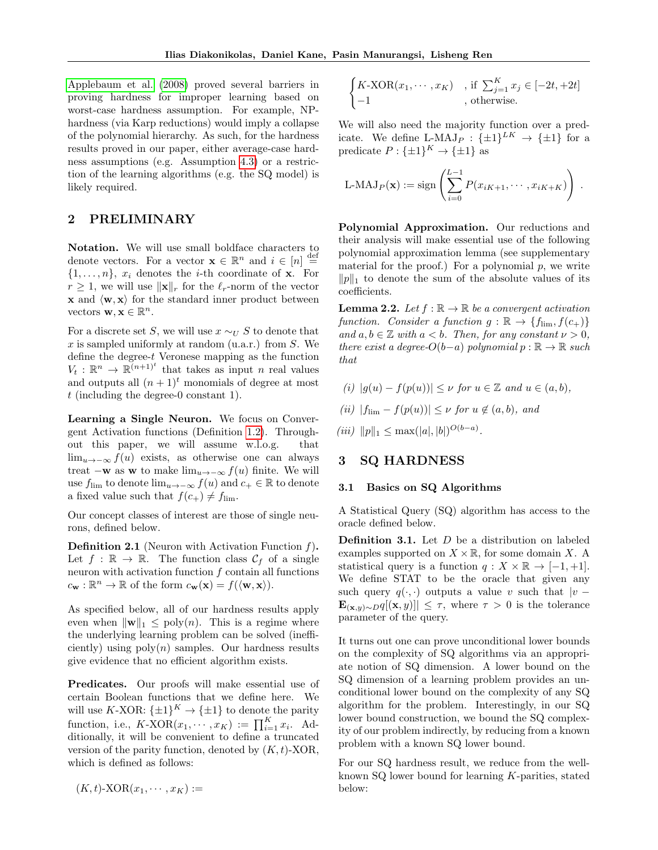[Applebaum et al.](#page-8-18) [\(2008\)](#page-8-18) proved several barriers in proving hardness for improper learning based on worst-case hardness assumption. For example, NPhardness (via Karp reductions) would imply a collapse of the polynomial hierarchy. As such, for the hardness results proved in our paper, either average-case hardness assumptions (e.g. Assumption [4.3\)](#page-5-0) or a restriction of the learning algorithms (e.g. the SQ model) is likely required.

# <span id="page-2-1"></span>2 PRELIMINARY

Notation. We will use small boldface characters to denote vectors. For a vector  $\mathbf{x} \in \mathbb{R}^n$  and  $i \in [n] \stackrel{\text{def}}{=}$  $\{1, \ldots, n\}, x_i$  denotes the *i*-th coordinate of **x**. For  $r \geq 1$ , we will use  $\|\mathbf{x}\|_r$  for the  $\ell_r$ -norm of the vector  $x$  and  $\langle w, x \rangle$  for the standard inner product between vectors  $\mathbf{w}, \mathbf{x} \in \mathbb{R}^n$ .

For a discrete set S, we will use  $x \sim_U S$  to denote that x is sampled uniformly at random  $(u.a.r.)$  from S. We define the degree-t Veronese mapping as the function  $V_t: \mathbb{R}^n \to \mathbb{R}^{(n+1)^t}$  that takes as input n real values and outputs all  $(n + 1)^t$  monomials of degree at most t (including the degree-0 constant 1).

Learning a Single Neuron. We focus on Convergent Activation functions (Definition [1.2\)](#page-1-0). Throughout this paper, we will assume w.l.o.g. that lim<sub>u→−∞</sub>  $f(u)$  exists, as otherwise one can always treat  $-\mathbf{w}$  as  $\mathbf{w}$  to make  $\lim_{u\to-\infty} f(u)$  finite. We will use  $f_{\text{lim}}$  to denote  $\lim_{u\to-\infty} f(u)$  and  $c_+ \in \mathbb{R}$  to denote a fixed value such that  $f(c_+) \neq f_{\text{lim}}$ .

Our concept classes of interest are those of single neurons, defined below.

**Definition 2.1** (Neuron with Activation Function  $f$ ). Let  $f : \mathbb{R} \to \mathbb{R}$ . The function class  $\mathcal{C}_f$  of a single neuron with activation function  $f$  contain all functions  $c_{\mathbf{w}} : \mathbb{R}^n \to \mathbb{R}$  of the form  $c_{\mathbf{w}}(\mathbf{x}) = f(\langle \mathbf{w}, \mathbf{x} \rangle)$ .

As specified below, all of our hardness results apply even when  $\|\mathbf{w}\|_1 \leq \text{poly}(n)$ . This is a regime where the underlying learning problem can be solved (inefficiently) using  $poly(n)$  samples. Our hardness results give evidence that no efficient algorithm exists.

Predicates. Our proofs will make essential use of certain Boolean functions that we define here. We will use K-XOR:  $\{\pm 1\}^K \rightarrow \{\pm 1\}$  to denote the parity function, i.e.,  $K\text{-XOR}(x_1, \dots, x_K) := \prod_{i=1}^K x_i$ . Additionally, it will be convenient to define a truncated version of the parity function, denoted by  $(K, t)$ -XOR, which is defined as follows:

$$
(K, t)\text{-XOR}(x_1, \cdots, x_K) :=
$$

$$
\begin{cases} K\text{-XOR}(x_1, \cdots, x_K) & \text{, if } \sum_{j=1}^K x_j \in [-2t, +2t] \\ -1 & \text{, otherwise.} \end{cases}
$$

We will also need the majority function over a predicate. We define L-MAJ<sub>P</sub> :  $\{\pm 1\}^{LK} \rightarrow {\{\pm 1\}}$  for a predicate  $P: {\{\pm 1\}}^K \to {\{\pm 1\}}$  as

L-MAJ<sub>P</sub>(**x**) := sign 
$$
\left( \sum_{i=0}^{L-1} P(x_{iK+1}, \cdots, x_{iK+K}) \right)
$$
.

Polynomial Approximation. Our reductions and their analysis will make essential use of the following polynomial approximation lemma (see supplementary material for the proof.) For a polynomial  $p$ , we write  $||p||_1$  to denote the sum of the absolute values of its coefficients.

<span id="page-2-2"></span>**Lemma 2.2.** Let  $f : \mathbb{R} \to \mathbb{R}$  be a convergent activation function. Consider a function  $g : \mathbb{R} \to \{f_{\text{lim}}, f(c_+) \}$ and  $a, b \in \mathbb{Z}$  with  $a < b$ . Then, for any constant  $\nu > 0$ , there exist a degree- $O(b-a)$  polynomial  $p : \mathbb{R} \to \mathbb{R}$  such that

- (i)  $|q(u) f(p(u))| \leq \nu$  for  $u \in \mathbb{Z}$  and  $u \in (a, b)$ ,
- (ii)  $|f_{\text{lim}} f(p(u))| \leq \nu$  for  $u \notin (a, b)$ , and

(iii)  $||p||_1 \leq \max(|a|, |b|)^{O(b-a)}$ .

#### <span id="page-2-3"></span>3 SQ HARDNESS

#### 3.1 Basics on SQ Algorithms

A Statistical Query (SQ) algorithm has access to the oracle defined below.

<span id="page-2-0"></span>**Definition 3.1.** Let  $D$  be a distribution on labeled examples supported on  $X \times \mathbb{R}$ , for some domain X. A statistical query is a function  $q: X \times \mathbb{R} \to [-1, +1].$ We define STAT to be the oracle that given any such query  $q(\cdot, \cdot)$  outputs a value v such that  $|v \mathbf{E}_{(\mathbf{x},y)\sim D}q[(\mathbf{x},y)] \leq \tau$ , where  $\tau > 0$  is the tolerance parameter of the query.

It turns out one can prove unconditional lower bounds on the complexity of SQ algorithms via an appropriate notion of SQ dimension. A lower bound on the SQ dimension of a learning problem provides an unconditional lower bound on the complexity of any SQ algorithm for the problem. Interestingly, in our SQ lower bound construction, we bound the SQ complexity of our problem indirectly, by reducing from a known problem with a known SQ lower bound.

For our SQ hardness result, we reduce from the wellknown SQ lower bound for learning K-parities, stated below: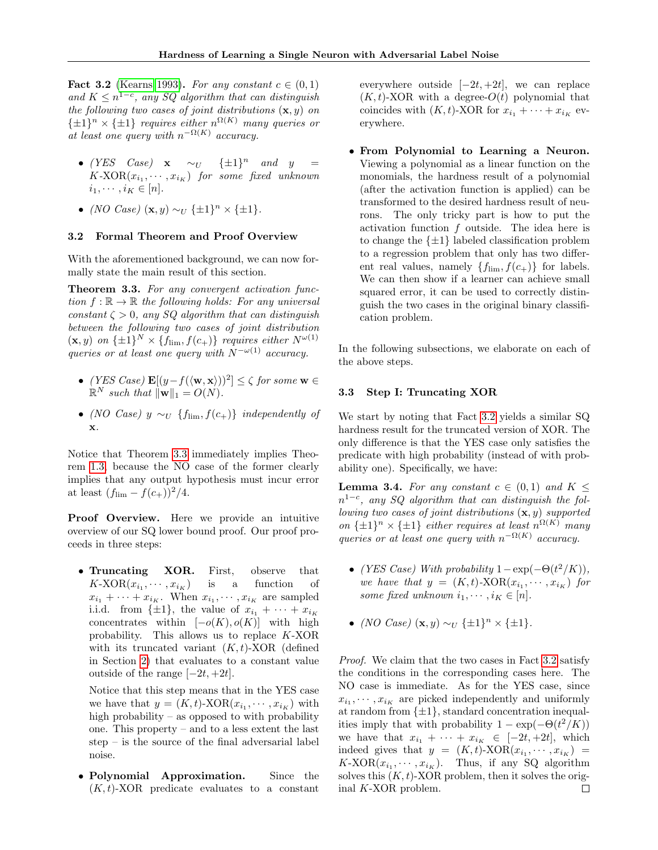<span id="page-3-1"></span>Fact 3.2 [\(Kearns 1993\)](#page-8-19). For any constant  $c \in (0,1)$ and  $K \leq n^{1-c}$ , any SQ algorithm that can distinguish the following two cases of joint distributions  $(\mathbf{x}, y)$  on  $\{\pm 1\}^n \times {\{\pm 1\}}$  requires either  $n^{\Omega(K)}$  many queries or at least one query with  $n^{-\Omega(K)}$  accuracy.

- (YES Case)  $x \sim_U \{\pm 1\}^n$  and  $y =$  $K\text{-XOR}(x_{i_1},\cdots,x_{i_K})$  for some fixed unknown  $i_1, \cdots, i_K \in [n].$
- (NO Case)  $(\mathbf{x}, y) \sim_U {\{\pm 1\}}^n \times {\{\pm 1\}}$ .

#### 3.2 Formal Theorem and Proof Overview

With the aforementioned background, we can now formally state the main result of this section.

<span id="page-3-0"></span>Theorem 3.3. For any convergent activation function  $f : \mathbb{R} \to \mathbb{R}$  the following holds: For any universal constant  $\zeta > 0$ , any SQ algorithm that can distinguish between the following two cases of joint distribution  $(\mathbf{x}, y)$  on  $\{\pm 1\}^N \times \{f_{\text{lim}}, f(c_+)\}\$  requires either  $N^{\omega(1)}$ queries or at least one query with  $N^{-\omega(1)}$  accuracy.

- (YES Case)  $\mathbf{E}[(y f(\langle \mathbf{w}, \mathbf{x} \rangle))^2] \leq \zeta$  for some  $\mathbf{w} \in$  $\mathbb{R}^N$  such that  $\|\mathbf{w}\|_1 = O(N)$ .
- (NO Case)  $y \sim_U \{f_{\text{lim}}, f(c_+) \}$  independently of x.

Notice that Theorem [3.3](#page-3-0) immediately implies Theorem [1.3,](#page-1-1) because the NO case of the former clearly implies that any output hypothesis must incur error at least  $(f_{\text{lim}} - f(c_{+}))^{2}/4$ .

Proof Overview. Here we provide an intuitive overview of our SQ lower bound proof. Our proof proceeds in three steps:

• Truncating XOR. First, observe that  $K\text{-XOR}(x_{i_1},\cdots,x_{i_K})$  is a function of  $x_{i_1} + \cdots + x_{i_K}$ . When  $x_{i_1}, \cdots, x_{i_K}$  are sampled i.i.d. from  $\{\pm 1\}$ , the value of  $x_{i_1} + \cdots + x_{i_K}$ concentrates within  $[-o(K), o(K)]$  with high probability. This allows us to replace K-XOR with its truncated variant  $(K, t)$ -XOR (defined in Section [2\)](#page-2-1) that evaluates to a constant value outside of the range  $[-2t, +2t]$ .

Notice that this step means that in the YES case we have that  $y = (K, t)$ -XOR $(x_{i_1}, \dots, x_{i_K})$  with high probability – as opposed to with probability one. This property – and to a less extent the last step – is the source of the final adversarial label noise.

• Polynomial Approximation. Since the  $(K, t)$ -XOR predicate evaluates to a constant

everywhere outside  $[-2t, +2t]$ , we can replace  $(K, t)$ -XOR with a degree- $O(t)$  polynomial that coincides with  $(K, t)$ -XOR for  $x_{i_1} + \cdots + x_{i_K}$  everywhere.

• From Polynomial to Learning a Neuron. Viewing a polynomial as a linear function on the monomials, the hardness result of a polynomial (after the activation function is applied) can be transformed to the desired hardness result of neurons. The only tricky part is how to put the activation function f outside. The idea here is to change the  $\{\pm 1\}$  labeled classification problem to a regression problem that only has two different real values, namely  $\{f_{\text{lim}}, f(c_+) \}$  for labels. We can then show if a learner can achieve small squared error, it can be used to correctly distinguish the two cases in the original binary classification problem.

In the following subsections, we elaborate on each of the above steps.

#### 3.3 Step I: Truncating XOR

We start by noting that Fact [3.2](#page-3-1) yields a similar SQ hardness result for the truncated version of XOR. The only difference is that the YES case only satisfies the predicate with high probability (instead of with probability one). Specifically, we have:

<span id="page-3-2"></span>**Lemma 3.4.** For any constant  $c \in (0,1)$  and  $K \leq$  $n^{1-c}$ , any SQ algorithm that can distinguish the following two cases of joint distributions  $(x, y)$  supported on  $\{\pm 1\}^n \times {\{\pm 1\}}$  either requires at least  $n^{\Omega(K)}$  many queries or at least one query with  $n^{-\Omega(K)}$  accuracy.

- (YES Case) With probability  $1 \exp(-\Theta(t^2/K))$ , we have that  $y = (K, t)$ -XOR $(x_{i_1}, \dots, x_{i_K})$  for some fixed unknown  $i_1, \dots, i_K \in [n]$ .
- (NO Case)  $(\mathbf{x}, y) \sim_U {\{\pm 1\}}^n \times {\{\pm 1\}}$ .

Proof. We claim that the two cases in Fact [3.2](#page-3-1) satisfy the conditions in the corresponding cases here. The NO case is immediate. As for the YES case, since  $x_{i_1}, \dots, x_{i_K}$  are picked independently and uniformly at random from  $\{\pm 1\}$ , standard concentration inequalities imply that with probability  $1 - \exp(-\Theta(t^2/K))$ we have that  $x_{i_1} + \cdots + x_{i_K} \in [-2t, +2t]$ , which indeed gives that  $y = (K, t)$ -XOR $(x_{i_1}, \dots, x_{i_K})$  =  $K\text{-XOR}(x_{i_1},\cdots,x_{i_K}).$  Thus, if any SQ algorithm solves this  $(K, t)$ -XOR problem, then it solves the original K-XOR problem. $\Box$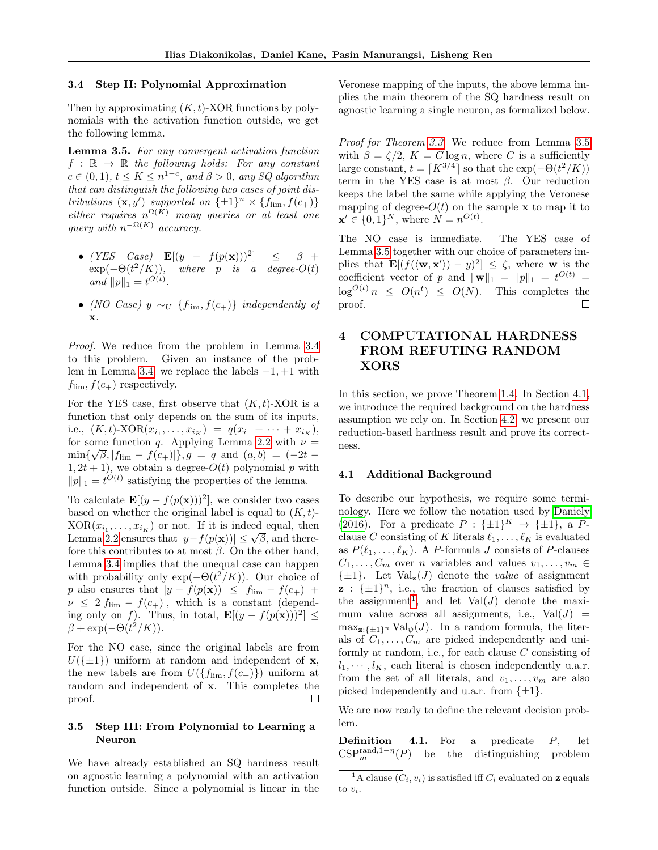#### 3.4 Step II: Polynomial Approximation

Then by approximating  $(K, t)$ -XOR functions by polynomials with the activation function outside, we get the following lemma.

<span id="page-4-0"></span>Lemma 3.5. For any convergent activation function  $f : \mathbb{R} \to \mathbb{R}$  the following holds: For any constant  $c \in (0, 1), t \leq K \leq n^{1-c}, \text{ and } \beta > 0, \text{ any } SQ \text{ algorithm}$ that can distinguish the following two cases of joint distributions  $(\mathbf{x}, y')$  supported on  $\{\pm 1\}^n \times \{f_{\text{lim}}, f(c_+)\}$ either requires  $n^{\Omega(K)}$  many queries or at least one query with  $n^{-\Omega(K)}$  accuracy.

- (YES Case)  $\mathbf{E}[(y f(p(\mathbf{x})))^2]$  $\leq \beta +$  $\exp(-\Theta(t^2/K))$ , where p is a degree- $O(t)$ and  $||p||_1 = t^{O(t)}$ .
- (NO Case) y  $\sim_U$  {f<sub>lim</sub>,  $f(c_+)$ } independently of x.

Proof. We reduce from the problem in Lemma [3.4](#page-3-2) to this problem. Given an instance of the prob-lem in Lemma [3.4,](#page-3-2) we replace the labels  $-1$ ,  $+1$  with  $f_{\text{lim}}, f(c_{+})$  respectively.

For the YES case, first observe that  $(K, t)$ -XOR is a function that only depends on the sum of its inputs, i.e.,  $(K, t)$ -XOR $(x_{i_1},..., x_{i_K}) = q(x_{i_1} + \cdots + x_{i_K}),$ for some function q. Applying Lemma [2.2](#page-2-2) with  $\nu =$  $\min\{\sqrt{\beta},|f_{\rm lim}-f(c_+)|\},g\ =\ q\ \ {\rm and}\ \ (a,b)\ =\ (-2t\ 1, 2t + 1$ , we obtain a degree- $O(t)$  polynomial p with  $||p||_1 = t^{O(t)}$  satisfying the properties of the lemma.

To calculate  $\mathbf{E}[(y - f(p(\mathbf{x})))^2]$ , we consider two cases based on whether the original label is equal to  $(K, t)$ - $XOR(x_{i_1}, \ldots, x_{i_K})$  or not. If it is indeed equal, then  $\text{Lemma } 2.2 \text{ ensures that } |y - f(p(\mathbf{x}))| \leq \sqrt{\beta}, \text{ and there.}$  $\text{Lemma } 2.2 \text{ ensures that } |y - f(p(\mathbf{x}))| \leq \sqrt{\beta}, \text{ and there.}$  $\text{Lemma } 2.2 \text{ ensures that } |y - f(p(\mathbf{x}))| \leq \sqrt{\beta}, \text{ and there.}$ fore this contributes to at most  $\beta$ . On the other hand, Lemma [3.4](#page-3-2) implies that the unequal case can happen with probability only  $\exp(-\Theta(t^2/K))$ . Our choice of p also ensures that  $|y - f(p(\mathbf{x}))| \leq |f_{\text{lim}} - f(c_+)| +$  $\nu \leq 2|f_{\text{lim}} - f(c_{+})|$ , which is a constant (depending only on f). Thus, in total,  $\mathbf{E}[(y - f(p(\mathbf{x})))^2] \leq$  $\beta + \exp(-\Theta(t^2/K)).$ 

For the NO case, since the original labels are from  $U({\{\pm 1\}})$  uniform at random and independent of **x**, the new labels are from  $U(\{f_{\text{lim}}, f(c_+)\})$  uniform at random and independent of x. This completes the proof.  $\Box$ 

### 3.5 Step III: From Polynomial to Learning a Neuron

We have already established an SQ hardness result on agnostic learning a polynomial with an activation function outside. Since a polynomial is linear in the

Veronese mapping of the inputs, the above lemma implies the main theorem of the SQ hardness result on agnostic learning a single neuron, as formalized below.

Proof for Theorem [3.3.](#page-3-0) We reduce from Lemma [3.5](#page-4-0) with  $\beta = \zeta/2$ ,  $K = C \log n$ , where C is a sufficiently large constant,  $t = \lceil K^{3/4} \rceil$  so that the  $\exp(-\Theta(t^2/K))$ term in the YES case is at most  $\beta$ . Our reduction keeps the label the same while applying the Veronese mapping of degree- $O(t)$  on the sample **x** to map it to  $\mathbf{x}' \in \{0, 1\}^N$ , where  $N = n^{O(t)}$ .

The NO case is immediate. The YES case of Lemma [3.5](#page-4-0) together with our choice of parameters implies that  $\mathbf{E}[(f(\langle \mathbf{w}, \mathbf{x}' \rangle) - y)^2] \leq \zeta$ , where **w** is the coefficient vector of p and  $\|\mathbf{w}\|_1 = \|p\|_1 = t^{O(t)} =$  $\log^{O(t)} n \leq O(n^t) \leq O(N)$ . This completes the proof. П

# <span id="page-4-3"></span>4 COMPUTATIONAL HARDNESS FROM REFUTING RANDOM XORS

In this section, we prove Theorem [1.4.](#page-1-2) In Section [4.1,](#page-4-1) we introduce the required background on the hardness assumption we rely on. In Section [4.2,](#page-5-1) we present our reduction-based hardness result and prove its correctness.

#### <span id="page-4-1"></span>4.1 Additional Background

To describe our hypothesis, we require some terminology. Here we follow the notation used by [Daniely](#page-8-12) [\(2016\)](#page-8-12). For a predicate  $P: {\{\pm 1\}}^K \rightarrow {\{\pm 1\}}$ , a Pclause C consisting of K literals  $\ell_1, \ldots, \ell_K$  is evaluated as  $P(\ell_1, \ldots, \ell_K)$ . A P-formula J consists of P-clauses  $C_1, \ldots, C_m$  over n variables and values  $v_1, \ldots, v_m \in$  $\{\pm 1\}$ . Let  $Val_{\mathbf{z}}(J)$  denote the *value* of assignment  $\mathbf{z}$  :  $\{\pm 1\}^n$ , i.e., the fraction of clauses satisfied by the assignment<sup>[1](#page-4-2)</sup>, and let  $Val(J)$  denote the maximum value across all assignments, i.e.,  $Val(J)$  =  $\max_{z:\{+\} \in \mathbb{R}^n}$  Val<sub> $\psi$ </sub> $(J)$ . In a random formula, the literals of  $C_1, \ldots, C_m$  are picked independently and uniformly at random, i.e., for each clause C consisting of  $l_1, \dots, l_K$ , each literal is chosen independently u.a.r. from the set of all literals, and  $v_1, \ldots, v_m$  are also picked independently and u.a.r. from  $\{\pm 1\}$ .

We are now ready to define the relevant decision problem.

**Definition 4.1.** For a predicate  $P$ , let  $CSP<sub>m</sub><sup>rand,1- $\eta$</sup> (P) be the distinguishing problem$ 

<span id="page-4-2"></span><sup>&</sup>lt;sup>1</sup>A clause  $(C_i, v_i)$  is satisfied iff  $C_i$  evaluated on **z** equals to  $v_i$ .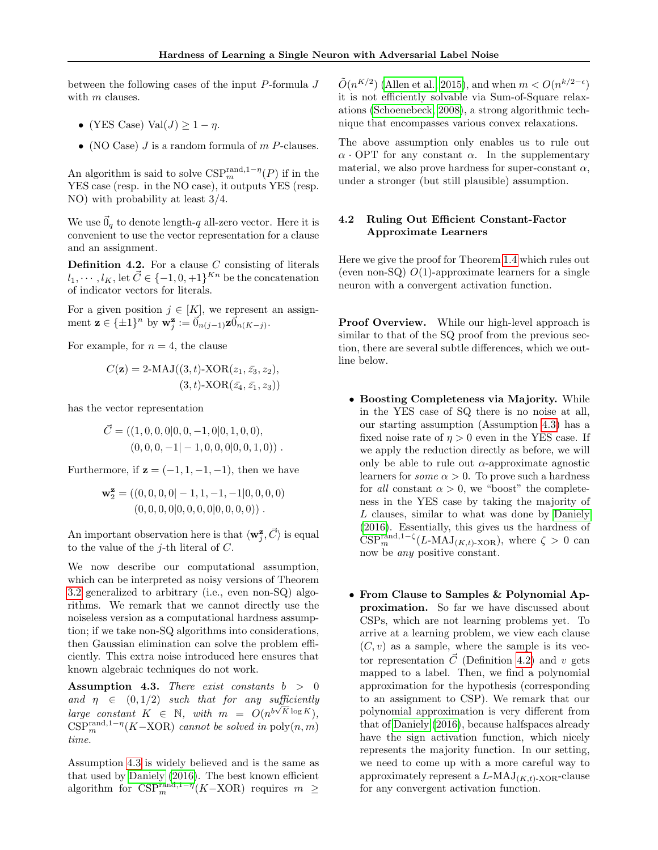between the following cases of the input  $P$ -formula  $J$ with m clauses.

- (YES Case) Val $(J) \geq 1 \eta$ .
- (NO Case)  $J$  is a random formula of  $m$   $P$ -clauses.

An algorithm is said to solve  ${{\rm CSP}_m^{{\rm rand},1-\eta}(P)}$  if in the YES case (resp. in the NO case), it outputs YES (resp. NO) with probability at least 3/4.

We use  $\vec{0}_q$  to denote length-q all-zero vector. Here it is convenient to use the vector representation for a clause and an assignment.

<span id="page-5-2"></span>**Definition 4.2.** For a clause  $C$  consisting of literals  $l_1, \cdots, l_K$ , let  $\vec{C} \in \{-1, 0, +1\}^{Kn}$  be the concatenation of indicator vectors for literals.

For a given position  $j \in [K]$ , we represent an assignment  $\mathbf{z} \in {\{\pm 1\}}^n$  by  $\mathbf{w}_j^{\mathbf{z}} := \vec{0}_{n(j-1)} \mathbf{z} \vec{0}_{n(K-j)}$ .

For example, for  $n = 4$ , the clause

$$
C(\mathbf{z}) = 2-\text{MAJ}((3,t)-\text{XOR}(z_1, \bar{z_3}, z_2),(3,t)-\text{XOR}(\bar{z_4}, \bar{z_1}, z_3))
$$

has the vector representation

$$
\vec{C} = ((1, 0, 0, 0|0, 0, -1, 0|0, 1, 0, 0),(0, 0, 0, -1|-1, 0, 0, 0|0, 0, 1, 0))
$$

Furthermore, if  $z = (-1, 1, -1, -1)$ , then we have

$$
\mathbf{w}_2^{\mathbf{z}} = ((0,0,0,0]-1,1,-1,-1|0,0,0,0)
$$
  

$$
(0,0,0,0|0,0,0,0|0,0,0,0))
$$
.

An important observation here is that  $\langle \mathbf{w}_j^{\mathbf{z}}, \vec{C} \rangle$  is equal to the value of the  $j$ -th literal of  $C$ .

We now describe our computational assumption, which can be interpreted as noisy versions of Theorem [3.2](#page-3-1) generalized to arbitrary (i.e., even non-SQ) algorithms. We remark that we cannot directly use the noiseless version as a computational hardness assumption; if we take non-SQ algorithms into considerations, then Gaussian elimination can solve the problem efficiently. This extra noise introduced here ensures that known algebraic techniques do not work.

<span id="page-5-0"></span>Assumption 4.3. There exist constants  $b > 0$ and  $\eta \in (0, 1/2)$  such that for any sufficiently large constant  $K \in \mathbb{N}$ , with  $m = O(n^{b\sqrt{K} \log K})$ ,  $CSP<sub>m</sub><sup>rand,1- $\eta$</sup> (K–XOR) cannot be solved in poly $(n, m)$$ time.

Assumption [4.3](#page-5-0) is widely believed and is the same as that used by [Daniely](#page-8-12) [\(2016\)](#page-8-12). The best known efficient algorithm for  $CSP<sub>m</sub><sup>rand,1–η</sup>(K–XOR)$  requires  $m \geq$ 

 $\tilde{O}(n^{K/2})$  [\(Allen et al., 2015\)](#page-8-20), and when  $m < O(n^{k/2-\epsilon})$ it is not efficiently solvable via Sum-of-Square relaxations [\(Schoenebeck, 2008\)](#page-8-21), a strong algorithmic technique that encompasses various convex relaxations.

The above assumption only enables us to rule out  $\alpha$  · OPT for any constant  $\alpha$ . In the supplementary material, we also prove hardness for super-constant  $\alpha$ , under a stronger (but still plausible) assumption.

## <span id="page-5-1"></span>4.2 Ruling Out Efficient Constant-Factor Approximate Learners

Here we give the proof for Theorem [1.4](#page-1-2) which rules out (even non-SQ)  $O(1)$ -approximate learners for a single neuron with a convergent activation function.

Proof Overview. While our high-level approach is similar to that of the SQ proof from the previous section, there are several subtle differences, which we outline below.

- Boosting Completeness via Majority. While in the YES case of SQ there is no noise at all, our starting assumption (Assumption [4.3\)](#page-5-0) has a fixed noise rate of  $\eta > 0$  even in the YES case. If we apply the reduction directly as before, we will only be able to rule out  $\alpha$ -approximate agnostic learners for *some*  $\alpha > 0$ . To prove such a hardness for all constant  $\alpha > 0$ , we "boost" the completeness in the YES case by taking the majority of L clauses, similar to what was done by [Daniely](#page-8-12) [\(2016\)](#page-8-12). Essentially, this gives us the hardness of  $CSP<sub>m</sub><sup>rand,1-\zeta</sup>(L-MAJ<sub>(K,t)</sub>-XOR)$ , where  $\zeta > 0$  can now be any positive constant.
- From Clause to Samples & Polynomial Approximation. So far we have discussed about CSPs, which are not learning problems yet. To arrive at a learning problem, we view each clause  $(C, v)$  as a sample, where the sample is its vector representation  $\vec{C}$  (Definition [4.2\)](#page-5-2) and v gets mapped to a label. Then, we find a polynomial approximation for the hypothesis (corresponding to an assignment to CSP). We remark that our polynomial approximation is very different from that of [Daniely](#page-8-12) [\(2016\)](#page-8-12), because halfspaces already have the sign activation function, which nicely represents the majority function. In our setting, we need to come up with a more careful way to approximately represent a  $L\text{-MAJ}_{(K,t)\text{-XOR}}$ -clause for any convergent activation function.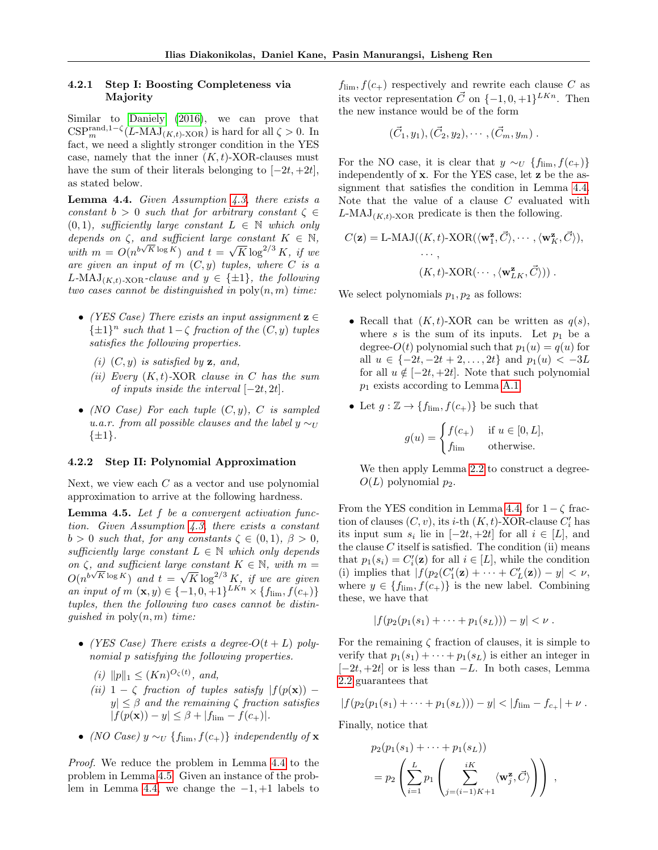#### 4.2.1 Step I: Boosting Completeness via Majority

Similar to [Daniely](#page-8-12) [\(2016\)](#page-8-12), we can prove that  $CSP<sub>m</sub><sup>rand,1-\zeta</sup>(L-MAJ<sub>(K,t)</sub>-XOR)$  is hard for all  $\zeta > 0$ . In fact, we need a slightly stronger condition in the YES case, namely that the inner  $(K, t)$ -XOR-clauses must have the sum of their literals belonging to  $[-2t, +2t]$ , as stated below.

<span id="page-6-0"></span>**Lemma 4.4.** Given Assumption  $4.3$ , there exists a constant  $b > 0$  such that for arbitrary constant  $\zeta \in$  $(0, 1)$ , sufficiently large constant  $L \in \mathbb{N}$  which only depends on  $\zeta$ , and sufficient large constant  $K \in \mathbb{N}$ , with  $m = O(n^{b\sqrt{K}\log K})$  and  $t = \sqrt{K}\log^{2/3} K$ , if we are given an input of  $m(C, y)$  tuples, where C is a L-MAJ<sub>(K,t)-XOR</sub>-clause and  $y \in \{\pm 1\}$ , the following two cases cannot be distinguished in  $\text{poly}(n, m)$  time:

- (YES Case) There exists an input assignment  $z \in$  $\{\pm 1\}^n$  such that  $1-\zeta$  fraction of the  $(C, y)$  tuples satisfies the following properties.
	- (i)  $(C, y)$  is satisfied by **z**, and,
	- (ii) Every  $(K, t)$ -XOR clause in C has the sum of inputs inside the interval  $[-2t, 2t]$ .
- (NO Case) For each tuple  $(C, y)$ , C is sampled u.a.r. from all possible clauses and the label  $y \sim_U$  $\{\pm 1\}.$

#### 4.2.2 Step II: Polynomial Approximation

Next, we view each  $C$  as a vector and use polynomial approximation to arrive at the following hardness.

<span id="page-6-1"></span>**Lemma 4.5.** Let  $f$  be a convergent activation function. Given Assumption [4.3,](#page-5-0) there exists a constant  $b > 0$  such that, for any constants  $\zeta \in (0,1), \ \beta > 0,$ sufficiently large constant  $L \in \mathbb{N}$  which only depends on  $\zeta$ , and sufficient large constant  $K \in \mathbb{N}$ , with  $m =$  $O(n^{b\sqrt{K}\log K})$  and  $t = \sqrt{K}\log^{2/3} K$ , if we are given an input of  $m(\mathbf{x}, y) \in \{-1, 0, +1\}^{LKn} \times \{f_{\text{lim}}, f(c_{+})\}$ tuples, then the following two cases cannot be distinguished in  $\text{poly}(n, m)$  time:

- (YES Case) There exists a degree- $O(t+L)$  polynomial p satisfying the following properties.
	- (i)  $||p||_1 \leq (Kn)^{O_\zeta(t)},$  and,
	- (ii)  $1 \zeta$  fraction of tuples satisfy  $|f(p(\mathbf{x})) |y| \leq \beta$  and the remaining  $\zeta$  fraction satisfies  $|f(p(\mathbf{x})) - y| \leq \beta + |f_{\text{lim}} - f(c_+)|.$
- (NO Case)  $y \sim_U \{f_{\text{lim}}, f(c_+) \}$  independently of **x**

Proof. We reduce the problem in Lemma [4.4](#page-6-0) to the problem in Lemma [4.5.](#page-6-1) Given an instance of the prob-lem in Lemma [4.4,](#page-6-0) we change the  $-1$ ,  $+1$  labels to  $f_{\text{lim}}, f(c_{+})$  respectively and rewrite each clause C as its vector representation  $\vec{C}$  on  $\{-1,0,+1\}^{LKn}$ . Then the new instance would be of the form

$$
(\vec{C}_1, y_1), (\vec{C}_2, y_2), \cdots, (\vec{C}_m, y_m).
$$

For the NO case, it is clear that  $y \sim_U \{f_{\text{lim}}, f(c_+)\}\$ independently of x. For the YES case, let z be the assignment that satisfies the condition in Lemma [4.4.](#page-6-0) Note that the value of a clause C evaluated with  $L\text{-MAJ}_{(K,t)\text{-XOR}}$  predicate is then the following.

$$
C(\mathbf{z}) = \text{L-MAJ}((K, t)\text{-XOR}(\langle \mathbf{w}_1^{\mathbf{z}}, \vec{C} \rangle, \cdots, \langle \mathbf{w}_K^{\mathbf{z}}, \vec{C} \rangle),
$$

$$
\cdots,
$$

$$
(K, t)\text{-XOR}(\cdots, \langle \mathbf{w}_L^{\mathbf{z}} \rangle)) .
$$

We select polynomials  $p_1, p_2$  as follows:

- Recall that  $(K, t)$ -XOR can be written as  $q(s)$ , where s is the sum of its inputs. Let  $p_1$  be a degree- $O(t)$  polynomial such that  $p_1(u) = q(u)$  for all  $u \in \{-2t, -2t + 2, \ldots, 2t\}$  and  $p_1(u) < -3L$ for all  $u \notin [-2t, +2t]$ . Note that such polynomial  $p_1$  exists according to Lemma [A.1.](#page-9-0)
- Let  $g : \mathbb{Z} \to \{f_{\text{lim}}, f(c_+)\}\)$  be such that

$$
g(u) = \begin{cases} f(c_+) & \text{if } u \in [0, L], \\ f_{\text{lim}} & \text{otherwise.} \end{cases}
$$

We then apply Lemma [2.2](#page-2-2) to construct a degree- $O(L)$  polynomial  $p_2$ .

From the YES condition in Lemma [4.4,](#page-6-0) for  $1 - \zeta$  fraction of clauses  $(C, v)$ , its *i*-th  $(K, t)$ -XOR-clause  $C_i'$  has its input sum  $s_i$  lie in  $[-2t, +2t]$  for all  $i \in [L]$ , and the clause  $C$  itself is satisfied. The condition (ii) means that  $p_1(s_i) = C_i'(\mathbf{z})$  for all  $i \in [L]$ , while the condition (i) implies that  $|f(p_2(C'_1(\mathbf{z}) + \cdots + C'_L(\mathbf{z})) - y| < \nu$ , where  $y \in \{f_{\text{lim}}, f(c_+)\}\$ is the new label. Combining these, we have that

$$
|f(p_2(p_1(s_1)+\cdots+p_1(s_L))) - y| < \nu.
$$

For the remaining  $\zeta$  fraction of clauses, it is simple to verify that  $p_1(s_1) + \cdots + p_1(s_L)$  is either an integer in  $[-2t, +2t]$  or is less than  $-L$ . In both cases, Lemma [2.2](#page-2-2) guarantees that

$$
|f(p_2(p_1(s_1)+\cdots+p_1(s_L))) - y| < |f_{\rm lim} - f_{c_+}| + \nu.
$$

Finally, notice that

$$
p_2(p_1(s_1) + \cdots + p_1(s_L))
$$
  
=  $p_2 \left( \sum_{i=1}^L p_1 \left( \sum_{j=(i-1)K+1}^{iK} \langle \mathbf{w}_j^{\mathbf{z}}, \vec{C} \rangle \right) \right)$ ,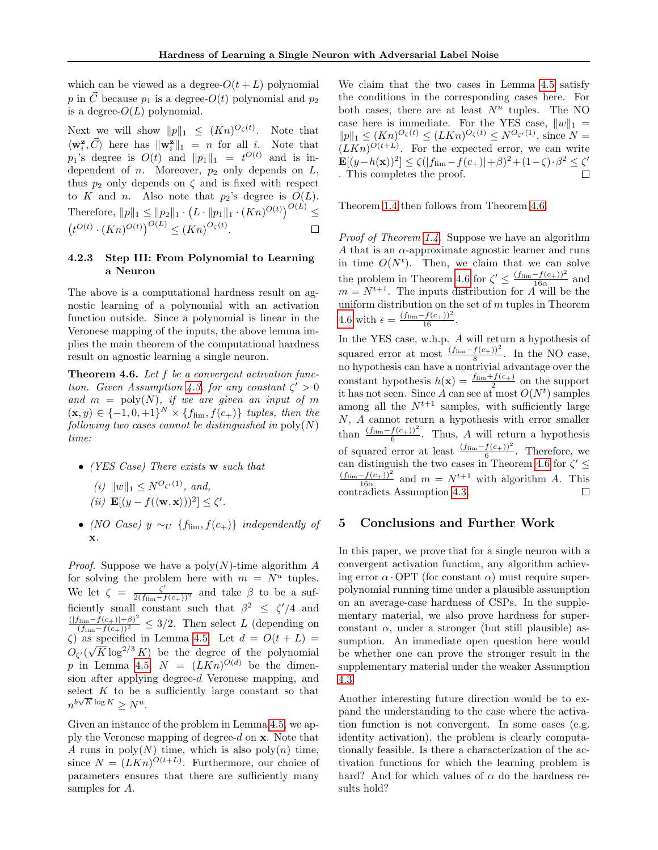which can be viewed as a degree- $O(t+L)$  polynomial p in  $\vec{C}$  because  $p_1$  is a degree- $O(t)$  polynomial and  $p_2$ is a degree- $O(L)$  polynomial.

Next we will show  $||p||_1 \leq (Kn)^{O_\zeta(t)}$ . Note that  $\langle \mathbf{w}_i^{\mathbf{z}}, \vec{C} \rangle$  here has  $\|\mathbf{w}_i^{\mathbf{z}}\|_1 = n$  for all *i*. Note that  $p_1$ 's degree is  $O(t)$  and  $||p_1||_1 = t^{O(t)}$  and is independent of  $n$ . Moreover,  $p_2$  only depends on  $L$ , thus  $p_2$  only depends on  $\zeta$  and is fixed with respect to K and n. Also note that  $p_2$ 's degree is  $O(L)$ . Therefore,  $||p||_1 \le ||p_2||_1 \cdot (L \cdot ||p_1||_1 \cdot (Kn)^{O(t)})^{O(L)} \le$  $(t^{O(t)} \cdot (Kn)^{O(t)})^{O(L)} \leq (Kn)^{O_{\zeta}(t)}.$ 

## 4.2.3 Step III: From Polynomial to Learning a Neuron

The above is a computational hardness result on agnostic learning of a polynomial with an activation function outside. Since a polynomial is linear in the Veronese mapping of the inputs, the above lemma implies the main theorem of the computational hardness result on agnostic learning a single neuron.

<span id="page-7-0"></span>**Theorem 4.6.** Let  $f$  be a convergent activation func-tion. Given Assumption [4.3,](#page-5-0) for any constant  $\zeta' > 0$ and  $m = \text{poly}(N)$ , if we are given an input of m  $(\mathbf{x}, y) \in \{-1, 0, +1\}^N \times \{f_{\text{lim}}, f(c_+)\}\$  tuples, then the following two cases cannot be distinguished in  $poly(N)$ time:

• (YES Case) There exists w such that

(i)  $||w||_1 < N^{O_{\zeta'}(1)}$ , and, (*ii*)  $\mathbf{E}[(y - f(\langle \mathbf{w}, \mathbf{x} \rangle))^2] \leq \zeta'.$ 

• (NO Case)  $y \sim_U \{f_{\text{lim}}, f(c_+)\}\in W$  independently of x.

*Proof.* Suppose we have a poly $(N)$ -time algorithm A for solving the problem here with  $m = N^u$  tuples. We let  $\zeta = \frac{\zeta'}{2(f_{\text{lim}}-f(c_{+}))^2}$  and take  $\beta$  to be a sufficiently small constant such that  $\beta^2 \leq \zeta'/4$  and  $\frac{(|f_{\text{lim}}-f(c_+)|+\beta)^2}{(f_{\text{lim}}-f(c_+))^2} \leq 3/2$ . Then select L (depending on  $\zeta$ ) as specified in Lemma [4.5.](#page-6-1) Let  $d = O(t + L) =$  $O_{\zeta'}(\sqrt{K} \log^{2/3} K)$  be the degree of the polynomial p in Lemma [4.5,](#page-6-1)  $N = (LKn)^{O(d)}$  be the dimension after applying degree-d Veronese mapping, and select K to be a sufficiently large constant so that  $n^{b\sqrt{K}\log K} \ge N^u$ .

Given an instance of the problem in Lemma [4.5,](#page-6-1) we apply the Veronese mapping of degree- $d$  on  $x$ . Note that A runs in  $poly(N)$  time, which is also  $poly(n)$  time, since  $N = (LKn)^{O(t+L)}$ . Furthermore, our choice of parameters ensures that there are sufficiently many samples for A.

We claim that the two cases in Lemma [4.5](#page-6-1) satisfy the conditions in the corresponding cases here. For both cases, there are at least  $N^u$  tuples. The NO case here is immediate. For the YES case,  $||w||_1 =$  $||p||_1 \le (Kn)^{O_\zeta(t)} \le (LKn)^{O_\zeta(t)} \le N^{O_{\zeta'}(1)}$ , since  $N =$  $(LKn)^{O(t+L)}$ . For the expected error, we can write  $\mathbf{E}[(y-h(\mathbf{x}))^2] \le \zeta(|f_{\rm lim}-f(c_+)|+\beta)^2+(1-\zeta)\cdot\beta^2 \le \zeta'$ . This completes the proof.

Theorem [1.4](#page-1-2) then follows from Theorem [4.6.](#page-7-0)

Proof of Theorem [1.4.](#page-1-2) Suppose we have an algorithm A that is an  $\alpha$ -approximate agnostic learner and runs in time  $O(N^t)$ . Then, we claim that we can solve the problem in Theorem [4.6](#page-7-0) for  $\zeta' \leq \frac{(f_{\text{lim}} - f(c_+))^2}{16\alpha}$  and  $m = N^{t+1}$ . The inputs distribution for A will be the uniform distribution on the set of  $m$  tuples in Theorem [4.6](#page-7-0) with  $\epsilon = \frac{(f_{\text{lim}} - f(c_{+}))^2}{16}$ .

In the YES case, w.h.p. A will return a hypothesis of squared error at most  $\frac{(f_{\text{lim}}-f(c_{+}))^2}{8}$ . In the NO case, no hypothesis can have a nontrivial advantage over the constant hypothesis  $h(\mathbf{x}) = \frac{f_{\text{lim}} + f(c_+)}{2}$  on the support it has not seen. Since A can see at most  $O(N<sup>t</sup>)$  samples among all the  $N^{t+1}$  samples, with sufficiently large N, A cannot return a hypothesis with error smaller than  $\frac{(f_{\text{lim}}-f(c_+))^2}{6}$ . Thus, A will return a hypothesis of squared error at least  $\frac{(f_{\text{lim}}-f(c_{+}))^2}{6}$ . Therefore, we can distinguish the two cases in Theorem [4.6](#page-7-0) for  $\zeta' \leq$  $\frac{(f_{\text{lim}}-f(c_+))^2}{16\alpha}$  and  $m = N^{t+1}$  with algorithm A. This contradicts Assumption [4.3.](#page-5-0)  $\Box$ 

#### 5 Conclusions and Further Work

In this paper, we prove that for a single neuron with a convergent activation function, any algorithm achieving error  $\alpha$  · OPT (for constant  $\alpha$ ) must require superpolynomial running time under a plausible assumption on an average-case hardness of CSPs. In the supplementary material, we also prove hardness for superconstant  $\alpha$ , under a stronger (but still plausible) assumption. An immediate open question here would be whether one can prove the stronger result in the supplementary material under the weaker Assumption [4.3.](#page-5-0)

Another interesting future direction would be to expand the understanding to the case where the activation function is not convergent. In some cases (e.g. identity activation), the problem is clearly computationally feasible. Is there a characterization of the activation functions for which the learning problem is hard? And for which values of  $\alpha$  do the hardness results hold?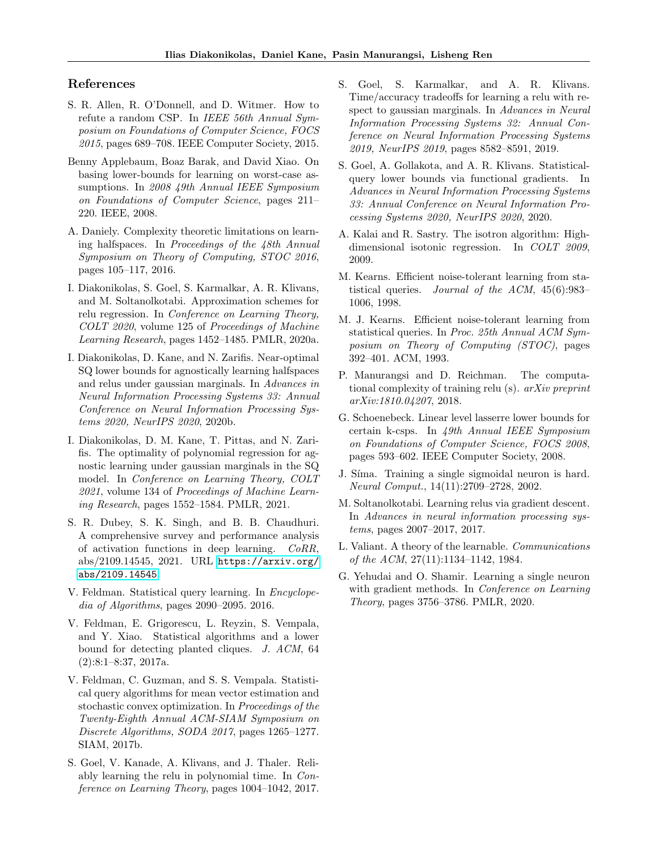## References

- <span id="page-8-20"></span>S. R. Allen, R. O'Donnell, and D. Witmer. How to refute a random CSP. In IEEE 56th Annual Symposium on Foundations of Computer Science, FOCS 2015, pages 689–708. IEEE Computer Society, 2015.
- <span id="page-8-18"></span>Benny Applebaum, Boaz Barak, and David Xiao. On basing lower-bounds for learning on worst-case assumptions. In 2008 49th Annual IEEE Symposium on Foundations of Computer Science, pages 211– 220. IEEE, 2008.
- <span id="page-8-12"></span>A. Daniely. Complexity theoretic limitations on learning halfspaces. In Proceedings of the 48th Annual Symposium on Theory of Computing, STOC 2016, pages 105–117, 2016.
- <span id="page-8-3"></span>I. Diakonikolas, S. Goel, S. Karmalkar, A. R. Klivans, and M. Soltanolkotabi. Approximation schemes for relu regression. In Conference on Learning Theory, COLT 2020, volume 125 of Proceedings of Machine Learning Research, pages 1452–1485. PMLR, 2020a.
- <span id="page-8-7"></span>I. Diakonikolas, D. Kane, and N. Zarifis. Near-optimal SQ lower bounds for agnostically learning halfspaces and relus under gaussian marginals. In Advances in Neural Information Processing Systems 33: Annual Conference on Neural Information Processing Systems 2020, NeurIPS 2020, 2020b.
- <span id="page-8-8"></span>I. Diakonikolas, D. M. Kane, T. Pittas, and N. Zarifis. The optimality of polynomial regression for agnostic learning under gaussian marginals in the SQ model. In Conference on Learning Theory, COLT 2021, volume 134 of Proceedings of Machine Learning Research, pages 1552–1584. PMLR, 2021.
- <span id="page-8-11"></span>S. R. Dubey, S. K. Singh, and B. B. Chaudhuri. A comprehensive survey and performance analysis of activation functions in deep learning. CoRR, abs/2109.14545, 2021. URL [https://arxiv.org/](https://arxiv.org/abs/2109.14545) [abs/2109.14545](https://arxiv.org/abs/2109.14545).
- <span id="page-8-15"></span>V. Feldman. Statistical query learning. In Encyclopedia of Algorithms, pages 2090–2095. 2016.
- <span id="page-8-16"></span>V. Feldman, E. Grigorescu, L. Reyzin, S. Vempala, and Y. Xiao. Statistical algorithms and a lower bound for detecting planted cliques. J. ACM, 64  $(2):8:1-8:37, 2017a.$
- <span id="page-8-17"></span>V. Feldman, C. Guzman, and S. S. Vempala. Statistical query algorithms for mean vector estimation and stochastic convex optimization. In Proceedings of the Twenty-Eighth Annual ACM-SIAM Symposium on Discrete Algorithms, SODA 2017, pages 1265–1277. SIAM, 2017b.
- <span id="page-8-4"></span>S. Goel, V. Kanade, A. Klivans, and J. Thaler. Reliably learning the relu in polynomial time. In Conference on Learning Theory, pages 1004–1042, 2017.
- <span id="page-8-5"></span>S. Goel, S. Karmalkar, and A. R. Klivans. Time/accuracy tradeoffs for learning a relu with respect to gaussian marginals. In Advances in Neural Information Processing Systems 32: Annual Conference on Neural Information Processing Systems 2019, NeurIPS 2019, pages 8582–8591, 2019.
- <span id="page-8-6"></span>S. Goel, A. Gollakota, and A. R. Klivans. Statisticalquery lower bounds via functional gradients. In Advances in Neural Information Processing Systems 33: Annual Conference on Neural Information Processing Systems 2020, NeurIPS 2020, 2020.
- <span id="page-8-0"></span>A. Kalai and R. Sastry. The isotron algorithm: Highdimensional isotonic regression. In COLT 2009, 2009.
- <span id="page-8-13"></span>M. Kearns. Efficient noise-tolerant learning from statistical queries. Journal of the ACM, 45(6):983– 1006, 1998.
- <span id="page-8-19"></span>M. J. Kearns. Efficient noise-tolerant learning from statistical queries. In Proc. 25th Annual ACM Symposium on Theory of Computing (STOC), pages 392–401. ACM, 1993.
- <span id="page-8-10"></span>P. Manurangsi and D. Reichman. The computational complexity of training relu (s). arXiv preprint arXiv:1810.04207, 2018.
- <span id="page-8-21"></span>G. Schoenebeck. Linear level lasserre lower bounds for certain k-csps. In 49th Annual IEEE Symposium on Foundations of Computer Science, FOCS 2008, pages 593–602. IEEE Computer Society, 2008.
- <span id="page-8-9"></span>J. Síma. Training a single sigmoidal neuron is hard. Neural Comput., 14(11):2709–2728, 2002.
- <span id="page-8-1"></span>M. Soltanolkotabi. Learning relus via gradient descent. In Advances in neural information processing systems, pages 2007–2017, 2017.
- <span id="page-8-14"></span>L. Valiant. A theory of the learnable. Communications of the ACM, 27(11):1134–1142, 1984.
- <span id="page-8-2"></span>G. Yehudai and O. Shamir. Learning a single neuron with gradient methods. In *Conference on Learning* Theory, pages 3756–3786. PMLR, 2020.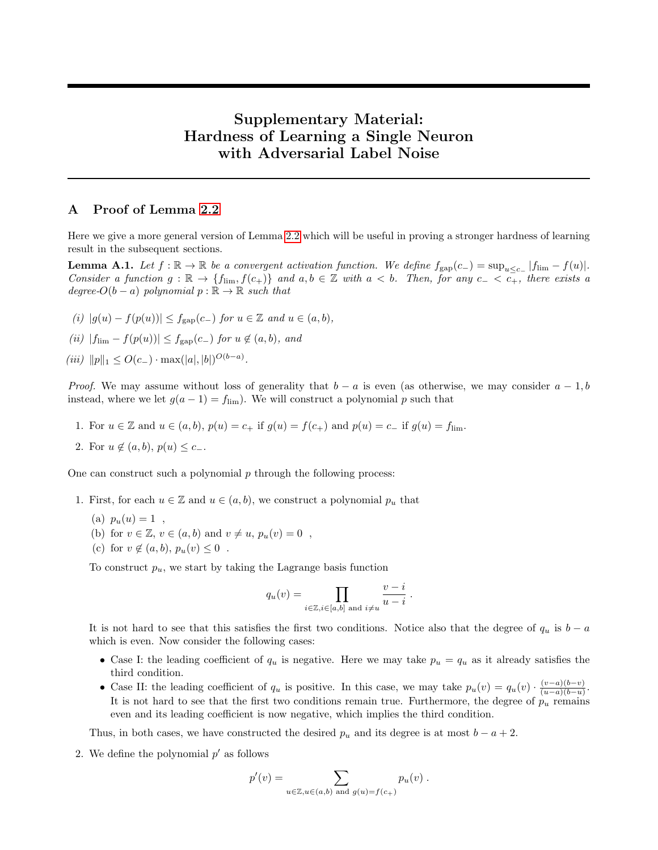# Supplementary Material: Hardness of Learning a Single Neuron with Adversarial Label Noise

# A Proof of Lemma [2.2](#page-2-2)

Here we give a more general version of Lemma [2.2](#page-2-2) which will be useful in proving a stronger hardness of learning result in the subsequent sections.

<span id="page-9-0"></span>**Lemma A.1.** Let  $f : \mathbb{R} \to \mathbb{R}$  be a convergent activation function. We define  $f_{\text{gap}}(c_{-}) = \sup_{u \leq c_{-}} |f_{\text{lim}} - f(u)|$ . Consider a function  $g : \mathbb{R} \to \{f_{\text{lim}}, f(c_+)\}\$  and  $a, b \in \mathbb{Z}$  with  $a < b$ . Then, for any  $c_- < c_+$ , there exists a degree- $O(b - a)$  polynomial  $p : \mathbb{R} \to \mathbb{R}$  such that

- (i)  $|g(u) f(p(u))| \leq f_{\text{gap}}(c_-)$  for  $u \in \mathbb{Z}$  and  $u \in (a, b)$ ,
- (ii)  $|f_{\text{lim}} f(p(u))| \leq f_{\text{gap}}(c_-)$  for  $u \notin (a, b)$ , and
- (iii)  $||p||_1 \leq O(c_-) \cdot \max(|a|, |b|)^{O(b-a)}$ .

*Proof.* We may assume without loss of generality that  $b - a$  is even (as otherwise, we may consider  $a - 1, b$ instead, where we let  $g(a-1) = f_{\text{lim}}$ . We will construct a polynomial p such that

- 1. For  $u \in \mathbb{Z}$  and  $u \in (a, b)$ ,  $p(u) = c_+$  if  $g(u) = f(c_+)$  and  $p(u) = c_-$  if  $g(u) = f_{\text{lim}}$ .
- 2. For  $u \notin (a, b), p(u) \leq c_-\.$

One can construct such a polynomial  $p$  through the following process:

- 1. First, for each  $u \in \mathbb{Z}$  and  $u \in (a, b)$ , we construct a polynomial  $p_u$  that
	- (a)  $p_u(u) = 1$ ,
	- (b) for  $v \in \mathbb{Z}$ ,  $v \in (a, b)$  and  $v \neq u$ ,  $p_u(v) = 0$ ,
	- (c) for  $v \notin (a, b), p_u(v) \leq 0$ .

To construct  $p_u$ , we start by taking the Lagrange basis function

$$
q_u(v) = \prod_{i \in \mathbb{Z}, i \in [a, b] \text{ and } i \neq u} \frac{v - i}{u - i}.
$$

It is not hard to see that this satisfies the first two conditions. Notice also that the degree of  $q_u$  is  $b - a$ which is even. Now consider the following cases:

- Case I: the leading coefficient of  $q_u$  is negative. Here we may take  $p_u = q_u$  as it already satisfies the third condition.
- Case II: the leading coefficient of  $q_u$  is positive. In this case, we may take  $p_u(v) = q_u(v) \cdot \frac{(v-a)(b-v)}{(u-a)(b-u)}$  $\frac{(v-a)(b-v)}{(u-a)(b-u)}$ It is not hard to see that the first two conditions remain true. Furthermore, the degree of  $p_u$  remains even and its leading coefficient is now negative, which implies the third condition.

Thus, in both cases, we have constructed the desired  $p_u$  and its degree is at most  $b - a + 2$ .

2. We define the polynomial  $p'$  as follows

$$
p'(v) = \sum_{u \in \mathbb{Z}, u \in (a,b) \text{ and } g(u) = f(c_+)} p_u(v).
$$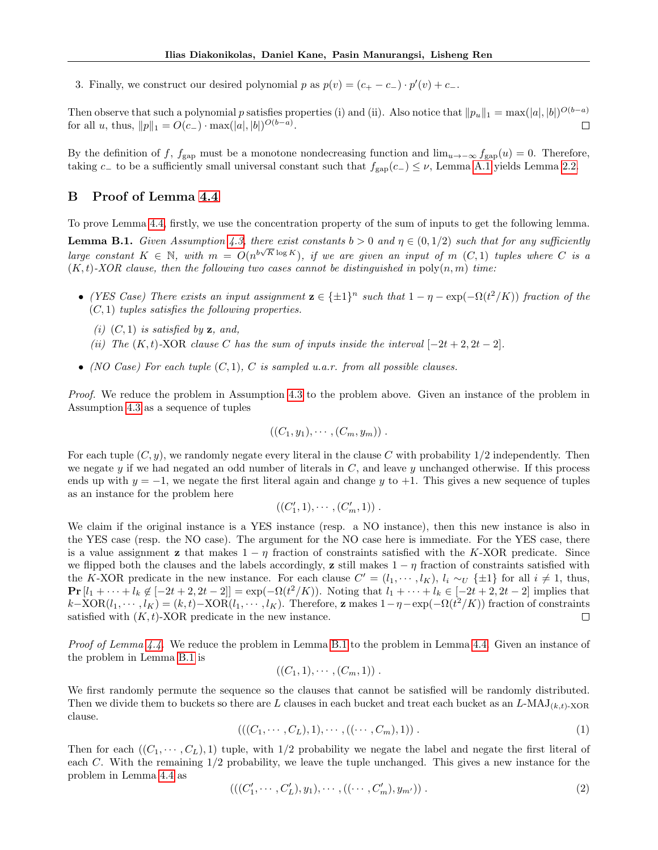3. Finally, we construct our desired polynomial p as  $p(v) = (c_+ - c_-) \cdot p'(v) + c_-$ .

Then observe that such a polynomial p satisfies properties (i) and (ii). Also notice that  $||p_u||_1 = \max(|a|, |b|)^{O(b-a)}$ for all u, thus,  $||p||_1 = O(c_-) \cdot \max(|a|, |b|)^{O(b-a)}$ .  $\Box$ 

By the definition of f,  $f_{\text{gap}}$  must be a monotone nondecreasing function and  $\lim_{u\to-\infty} f_{\text{gap}}(u) = 0$ . Therefore, taking c<sub>−</sub> to be a sufficiently small universal constant such that  $f_{\rm gap}(c_{-}) \leq \nu$ , Lemma [A.1](#page-9-0) yields Lemma [2.2.](#page-2-2)

# B Proof of Lemma [4.4](#page-6-0)

To prove Lemma [4.4,](#page-6-0) firstly, we use the concentration property of the sum of inputs to get the following lemma.

<span id="page-10-0"></span>**Lemma B.1.** Given Assumption [4.3,](#page-5-0) there exist constants  $b > 0$  and  $\eta \in (0, 1/2)$  such that for any sufficiently Lemma D.1. Such Roomphon 4.0, there exist constants  $\delta > 0$  and  $\eta \in (0,1/2)$  such that for any sufficiently large constant  $K \in \mathbb{N}$ , with  $m = O(n^{b\sqrt{K} \log K})$ , if we are given an input of  $m(C,1)$  tuples where C is a  $(K, t)$ -XOR clause, then the following two cases cannot be distinguished in  $\text{poly}(n, m)$  time:

- (YES Case) There exists an input assignment  $\mathbf{z} \in {\pm 1}^n$  such that  $1 \eta \exp(-\Omega(t^2/K))$  fraction of the  $(C, 1)$  tuples satisfies the following properties.
	- (i)  $(C, 1)$  is satisfied by **z**, and,
	- (ii) The  $(K, t)$ -XOR clause C has the sum of inputs inside the interval  $[-2t + 2, 2t 2]$ .
- (NO Case) For each tuple  $(C, 1)$ , C is sampled u.a.r. from all possible clauses.

Proof. We reduce the problem in Assumption [4.3](#page-5-0) to the problem above. Given an instance of the problem in Assumption [4.3](#page-5-0) as a sequence of tuples

$$
((C_1,y_1),\cdots,(C_m,y_m))\ .
$$

For each tuple  $(C, y)$ , we randomly negate every literal in the clause C with probability  $1/2$  independently. Then we negate  $y$  if we had negated an odd number of literals in  $C$ , and leave  $y$  unchanged otherwise. If this process ends up with  $y = -1$ , we negate the first literal again and change y to  $+1$ . This gives a new sequence of tuples as an instance for the problem here

$$
((C'_1,1),\cdots,(C'_m,1))\ .
$$

We claim if the original instance is a YES instance (resp. a NO instance), then this new instance is also in the YES case (resp. the NO case). The argument for the NO case here is immediate. For the YES case, there is a value assignment **z** that makes  $1 - \eta$  fraction of constraints satisfied with the K-XOR predicate. Since we flipped both the clauses and the labels accordingly, z still makes  $1 - \eta$  fraction of constraints satisfied with the K-XOR predicate in the new instance. For each clause  $C' = (l_1, \dots, l_K)$ ,  $l_i \sim_U {\pm 1}$  for all  $i \neq 1$ , thus,  $\Pr [l_1 + \cdots + l_k \notin [-2t+2, 2t-2]] = \exp(-\Omega(t^2/K))$ . Noting that  $l_1 + \cdots + l_k \in [-2t+2, 2t-2]$  implies that  $k-\text{XOR}(l_1,\dots, l_K) = (k,t)-\text{XOR}(l_1,\dots, l_K)$ . Therefore, **z** makes  $1-\eta-\exp(-\Omega(t^2/K))$  fraction of constraints satisfied with  $(K, t)$ -XOR predicate in the new instance.  $\Box$ 

Proof of Lemma [4.4.](#page-6-0) We reduce the problem in Lemma [B.1](#page-10-0) to the problem in Lemma 4.4. Given an instance of the problem in Lemma [B.1](#page-10-0) is

$$
((C_1,1),\cdots,(C_m,1))
$$
.

We first randomly permute the sequence so the clauses that cannot be satisfied will be randomly distributed. Then we divide them to buckets so there are L clauses in each bucket and treat each bucket as an  $L\text{-MAJ}_{(k,t)\text{-XOR}}$ clause.

<span id="page-10-1"></span>
$$
(((C_1, \cdots, C_L), 1), \cdots, ((\cdots, C_m), 1)) . \tag{1}
$$

Then for each  $((C_1, \dots, C_L), 1)$  tuple, with  $1/2$  probability we negate the label and negate the first literal of each C. With the remaining 1/2 probability, we leave the tuple unchanged. This gives a new instance for the problem in Lemma [4.4](#page-6-0) as

<span id="page-10-2"></span>
$$
(((C'_1, \cdots, C'_L), y_1), \cdots, ((\cdots, C'_m), y_{m'}))
$$
 (2)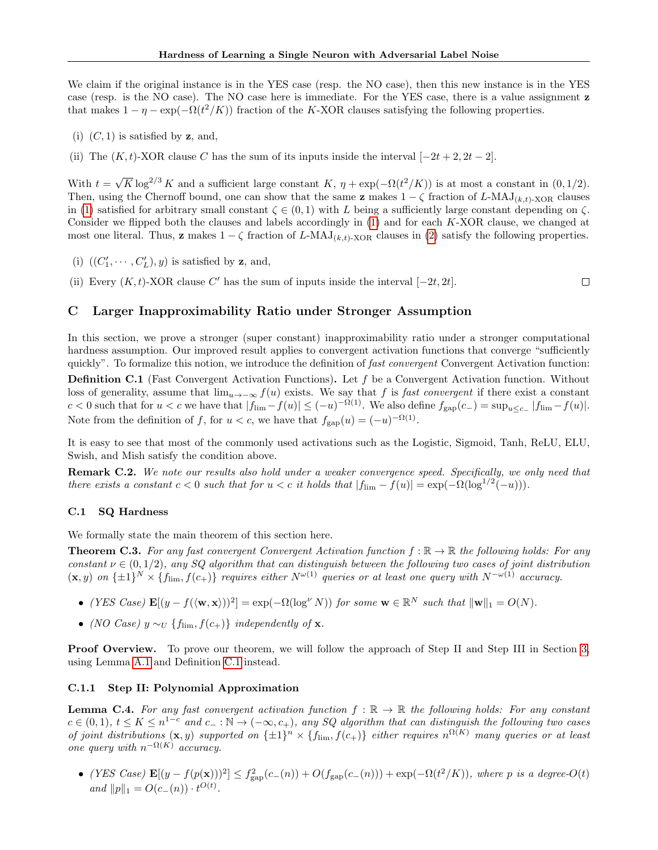We claim if the original instance is in the YES case (resp. the NO case), then this new instance is in the YES case (resp. is the NO case). The NO case here is immediate. For the YES case, there is a value assignment z that makes  $1 - \eta - \exp(-\Omega(t^2/K))$  fraction of the K-XOR clauses satisfying the following properties.

- (i)  $(C, 1)$  is satisfied by **z**, and,
- (ii) The  $(K, t)$ -XOR clause C has the sum of its inputs inside the interval  $[-2t + 2, 2t 2]$ .

With  $t =$  $\sqrt{K} \log^{2/3} K$  and a sufficient large constant K,  $\eta + \exp(-\Omega(t^2/K))$  is at most a constant in  $(0, 1/2)$ . Then, using the Chernoff bound, one can show that the same **z** makes  $1 - \zeta$  fraction of L-MAJ<sub>(k,t)</sub>-X<sub>OR</sub> clauses in [\(1\)](#page-10-1) satisfied for arbitrary small constant  $\zeta \in (0,1)$  with L being a sufficiently large constant depending on  $\zeta$ . Consider we flipped both the clauses and labels accordingly in [\(1\)](#page-10-1) and for each K-XOR clause, we changed at most one literal. Thus, **z** makes  $1 - \zeta$  fraction of L-MAJ<sub>(k,t)</sub>-x<sub>OR</sub> clauses in [\(2\)](#page-10-2) satisfy the following properties.

- (i)  $((C'_1, \cdots, C'_L), y)$  is satisfied by **z**, and,
- (ii) Every  $(K, t)$ -XOR clause C' has the sum of inputs inside the interval  $[-2t, 2t]$ .  $\Box$

## C Larger Inapproximability Ratio under Stronger Assumption

In this section, we prove a stronger (super constant) inapproximability ratio under a stronger computational hardness assumption. Our improved result applies to convergent activation functions that converge "sufficiently quickly". To formalize this notion, we introduce the definition of fast convergent Convergent Activation function:

<span id="page-11-0"></span>**Definition C.1** (Fast Convergent Activation Functions). Let  $f$  be a Convergent Activation function. Without loss of generality, assume that  $\lim_{u\to-\infty} f(u)$  exists. We say that f is fast convergent if there exist a constant  $c < 0$  such that for  $u < c$  we have that  $|f_{\text{lim}} - f(u)| \leq (-u)^{-\Omega(1)}$ . We also define  $f_{\text{gap}}(c_{-}) = \sup_{u \leq c_{-}} |f_{\text{lim}} - f(u)|$ . Note from the definition of f, for  $u < c$ , we have that  $f_{\rm gap}(u) = (-u)^{-\Omega(1)}$ .

It is easy to see that most of the commonly used activations such as the Logistic, Sigmoid, Tanh, ReLU, ELU, Swish, and Mish satisfy the condition above.

Remark C.2. We note our results also hold under a weaker convergence speed. Specifically, we only need that there exists a constant  $c < 0$  such that for  $u < c$  it holds that  $|f_{\text{lim}} - f(u)| = \exp(-\Omega(\log^{1/2}(-u)))$ .

#### C.1 SQ Hardness

We formally state the main theorem of this section here.

<span id="page-11-1"></span>**Theorem C.3.** For any fast convergent Convergent Activation function  $f : \mathbb{R} \to \mathbb{R}$  the following holds: For any constant  $\nu \in (0, 1/2)$ , any SQ algorithm that can distinguish between the following two cases of joint distribution  $(x, y)$  on  $\{\pm 1\}^N \times \{f_{\text{lim}}, f(c_+)\}\$  requires either  $N^{\omega(1)}$  queries or at least one query with  $N^{-\omega(1)}$  accuracy.

- (YES Case)  $\mathbf{E}[(y f(\langle \mathbf{w}, \mathbf{x} \rangle))^2] = \exp(-\Omega(\log^{\nu} N))$  for some  $\mathbf{w} \in \mathbb{R}^N$  such that  $\|\mathbf{w}\|_1 = O(N)$ .
- (NO Case)  $y \sim_U \{f_{\text{lim}}, f(c_+) \}$  independently of **x**.

**Proof Overview.** To prove our theorem, we will follow the approach of Step II and Step III in Section [3,](#page-2-3) using Lemma [A.1](#page-9-0) and Definition [C.1](#page-11-0) instead.

#### C.1.1 Step II: Polynomial Approximation

<span id="page-11-2"></span>**Lemma C.4.** For any fast convergent activation function  $f : \mathbb{R} \to \mathbb{R}$  the following holds: For any constant  $c \in (0,1)$ ,  $t \leq K \leq n^{1-c}$  and  $c_- : \mathbb{N} \to (-\infty, c_+)$ , any SQ algorithm that can distinguish the following two cases of joint distributions  $(\mathbf{x}, y)$  supported on  $\{\pm 1\}^n \times \{f_{\text{lim}}, f(c_{+})\}$  either requires  $n^{\Omega(K)}$  many queries or at least one query with  $n^{-\Omega(K)}$  accuracy.

• (YES Case)  $\mathbf{E}[(y - f(p(\mathbf{x})))^2] \leq f_{\text{gap}}^2(c_-(n)) + O(f_{\text{gap}}(c_-(n))) + \exp(-\Omega(t^2/K))$ , where p is a degree- $O(t)$ and  $||p||_1 = O(c_-(n)) \cdot t^{O(t)}$ .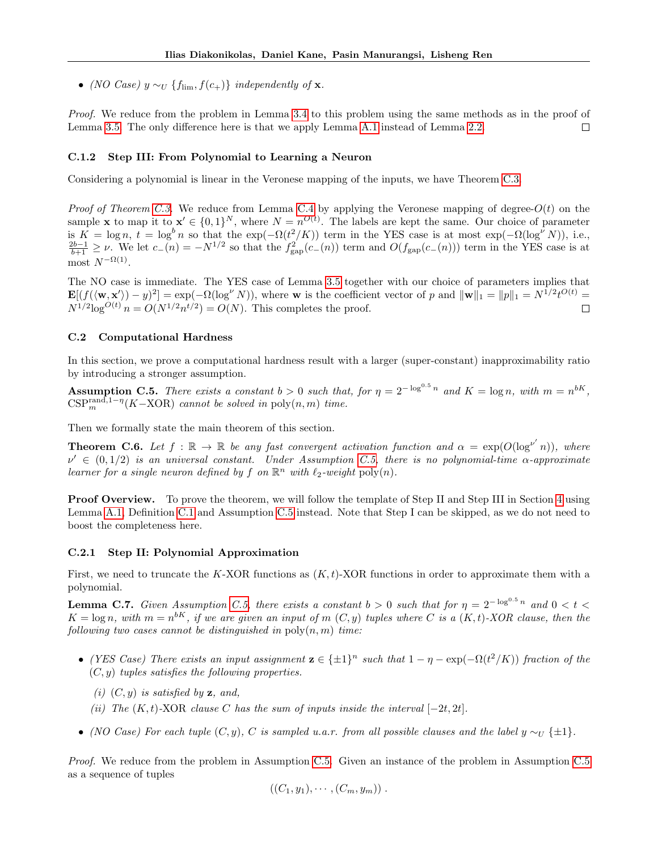• (NO Case)  $y \sim_U \{f_{\text{lim}}, f(c_+) \}$  independently of **x**.

Proof. We reduce from the problem in Lemma [3.4](#page-3-2) to this problem using the same methods as in the proof of Lemma [3.5.](#page-4-0) The only difference here is that we apply Lemma [A.1](#page-9-0) instead of Lemma [2.2.](#page-2-2) П

#### C.1.2 Step III: From Polynomial to Learning a Neuron

Considering a polynomial is linear in the Veronese mapping of the inputs, we have Theorem [C.3.](#page-11-1)

*Proof of Theorem [C.3.](#page-11-1)* We reduce from Lemma [C.4](#page-11-2) by applying the Veronese mapping of degree- $O(t)$  on the sample **x** to map it to  $\mathbf{x}' \in \{0,1\}^N$ , where  $N = n^{O(t)}$ . The labels are kept the same. Our choice of parameter is  $K = \log n$ ,  $t = \log^b n$  so that the  $\exp(-\Omega(t^2/K))$  term in the YES case is at most  $\exp(-\Omega(\log^{\nu} N))$ , i.e.,  $\frac{2b-1}{b+1} \geq \nu$ . We let  $c_-(n) = -N^{1/2}$  so that the  $f_{\text{gap}}^2(c_-(n))$  term and  $O(f_{\text{gap}}(c_-(n)))$  term in the YES case most  $N^{-\Omega(1)}$ .

The NO case is immediate. The YES case of Lemma [3.5](#page-4-0) together with our choice of parameters implies that  $\mathbf{E}[(f(\langle \mathbf{w}, \mathbf{x}' \rangle) - y)^2] = \exp(-\Omega(\log^{\nu} N))$ , where **w** is the coefficient vector of p and  $\|\mathbf{w}\|_1 = \|p\|_1 = N^{1/2}t^{O(t)}$  $N^{1/2} \log^{O(t)} n = O(N^{1/2} n^{t/2}) = O(N)$ . This completes the proof.  $\Box$ 

#### C.2 Computational Hardness

In this section, we prove a computational hardness result with a larger (super-constant) inapproximability ratio by introducing a stronger assumption.

<span id="page-12-0"></span>**Assumption C.5.** There exists a constant  $b > 0$  such that, for  $\eta = 2^{-\log^{0.5} n}$  and  $K = \log n$ , with  $m = n^{bK}$ ,  $CSP<sub>m</sub><sup>rand,1- $\eta$</sup> (K–XOR) cannot be solved in poly(n,m) time.$ 

Then we formally state the main theorem of this section.

<span id="page-12-2"></span>**Theorem C.6.** Let  $f : \mathbb{R} \to \mathbb{R}$  be any fast convergent activation function and  $\alpha = \exp(O(\log^{p'} n))$ , where  $\nu' \in (0,1/2)$  is an universal constant. Under Assumption [C.5,](#page-12-0) there is no polynomial-time  $\alpha$ -approximate learner for a single neuron defined by f on  $\mathbb{R}^n$  with  $\ell_2$ -weight  $\text{poly}(n)$ .

**Proof Overview.** To prove the theorem, we will follow the template of Step II and Step III in Section [4](#page-4-3) using Lemma [A.1,](#page-9-0) Definition [C.1](#page-11-0) and Assumption [C.5](#page-12-0) instead. Note that Step I can be skipped, as we do not need to boost the completeness here.

#### C.2.1 Step II: Polynomial Approximation

First, we need to truncate the K-XOR functions as  $(K, t)$ -XOR functions in order to approximate them with a polynomial.

<span id="page-12-1"></span>**Lemma C.7.** Given Assumption [C.5,](#page-12-0) there exists a constant  $b > 0$  such that for  $\eta = 2^{-\log^{0.5} n}$  and  $0 < t <$  $K = \log n$ , with  $m = n^{bK}$ , if we are given an input of m  $(C, y)$  tuples where C is a  $(K, t)$ -XOR clause, then the following two cases cannot be distinguished in  $\text{poly}(n, m)$  time:

- (YES Case) There exists an input assignment  $\mathbf{z} \in {\pm 1}^n$  such that  $1 \eta \exp(-\Omega(t^2/K))$  fraction of the  $(C, y)$  tuples satisfies the following properties.
	- (i)  $(C, y)$  is satisfied by z, and,
	- (ii) The  $(K, t)$ -XOR clause C has the sum of inputs inside the interval  $[-2t, 2t]$ .
- (NO Case) For each tuple  $(C, y)$ , C is sampled u.a.r. from all possible clauses and the label  $y \sim_U {\{\pm 1\}}$ .

Proof. We reduce from the problem in Assumption [C.5.](#page-12-0) Given an instance of the problem in Assumption [C.5](#page-12-0) as a sequence of tuples

$$
((C_1,y_1),\cdots,(C_m,y_m))
$$
.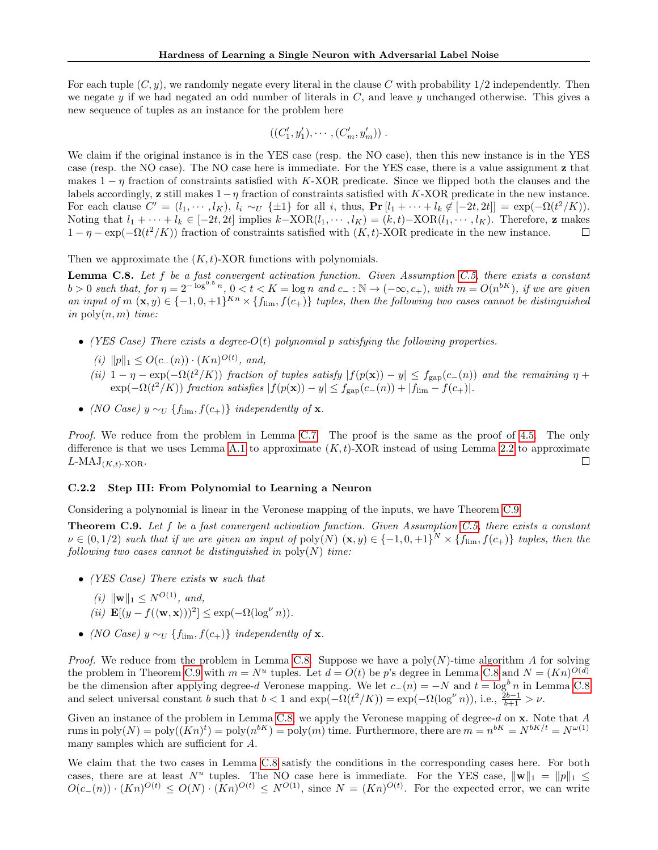For each tuple  $(C, y)$ , we randomly negate every literal in the clause C with probability  $1/2$  independently. Then we negate y if we had negated an odd number of literals in  $C$ , and leave y unchanged otherwise. This gives a new sequence of tuples as an instance for the problem here

$$
((C'_1,y'_1),\cdots,(C'_m,y'_m))\ .
$$

We claim if the original instance is in the YES case (resp. the NO case), then this new instance is in the YES case (resp. the NO case). The NO case here is immediate. For the YES case, there is a value assignment z that makes  $1 - \eta$  fraction of constraints satisfied with K-XOR predicate. Since we flipped both the clauses and the labels accordingly, z still makes  $1-\eta$  fraction of constraints satisfied with K-XOR predicate in the new instance. For each clause  $C' = (l_1, \dots, l_K)$ ,  $l_i \sim_U {\pm 1}$  for all i, thus,  $\Pr[l_1 + \dots + l_k \notin [-2t, 2t]] = \exp(-\Omega(t^2/K)).$ Noting that  $l_1 + \cdots + l_k \in [-2t, 2t]$  implies  $k-\text{XOR}(l_1, \dots, l_K) = (k, t) - \text{XOR}(l_1, \dots, l_K)$ . Therefore, z makes  $1 - \eta - \exp(-\Omega(t^2/K))$  fraction of constraints satisfied with  $(K, t)$ -XOR predicate in the new instance.  $\Box$ 

Then we approximate the  $(K, t)$ -XOR functions with polynomials.

<span id="page-13-1"></span>**Lemma C.8.** Let f be a fast convergent activation function. Given Assumption [C.5,](#page-12-0) there exists a constant  $b > 0$  such that, for  $\eta = 2^{-\log^{0.5} n}$ ,  $0 < t < K = \log n$  and  $c_- : \mathbb{N} \to (-\infty, c_+),$  with  $m = O(n^{bK})$ , if we are given an input of  $m(\mathbf{x}, y) \in \{-1, 0, +1\}^{Kn} \times \{f_{\text{lim}}, f(c_+)\}\)$  tuples, then the following two cases cannot be distinguished in  $\mathrm{poly}(n,m)$  time:

- (YES Case) There exists a degree- $O(t)$  polynomial p satisfying the following properties.
	- (i)  $||p||_1 \leq O(c_-(n)) \cdot (Kn)^{O(t)},$  and,
	- (ii)  $1 \eta \exp(-\Omega(t^2/K))$  fraction of tuples satisfy  $|f(p(\mathbf{x})) y| \leq f_{\text{gap}}(c_{-}(n))$  and the remaining  $\eta$  +  $\exp(-\Omega(t^2/K))$  fraction satisfies  $|f(p(\mathbf{x})) - y| \le f_{\text{gap}}(c_{-}(n)) + |f_{\text{lim}} - f(c_{+})|$ .
- (NO Case)  $y \sim_U \{f_{\text{lim}}, f(c_+) \}$  independently of **x**.

Proof. We reduce from the problem in Lemma [C.7.](#page-12-1) The proof is the same as the proof of [4.5.](#page-6-1) The only difference is that we uses Lemma [A.1](#page-9-0) to approximate  $(K, t)$ -XOR instead of using Lemma [2.2](#page-2-2) to approximate  $L\text{-MAJ}(K,t)\text{-XOR}.$  $\Box$ 

#### C.2.2 Step III: From Polynomial to Learning a Neuron

Considering a polynomial is linear in the Veronese mapping of the inputs, we have Theorem [C.9.](#page-13-0)

<span id="page-13-0"></span>**Theorem C.9.** Let  $f$  be a fast convergent activation function. Given Assumption [C.5,](#page-12-0) there exists a constant  $\nu \in (0,1/2)$  such that if we are given an input of  $\text{poly}(N)$   $(\mathbf{x},y) \in \{-1,0,+1\}^N \times \{f_{\text{lim}},f(c_+)\}\)$  tuples, then the following two cases cannot be distinguished in  $\text{poly}(N)$  time:

- (YES Case) There exists w such that
	- (i)  $\|\mathbf{w}\|_1 \leq N^{O(1)}$ , and,
	- (ii)  $\mathbf{E}[(y f(\langle \mathbf{w}, \mathbf{x} \rangle))^2] \leq \exp(-\Omega(\log^{\nu} n)).$
- (NO Case)  $y \sim_U \{f_{\text{lim}}, f(c_+) \}$  independently of **x**.

*Proof.* We reduce from the problem in Lemma [C.8.](#page-13-1) Suppose we have a poly(N)-time algorithm A for solving the problem in Theorem [C.9](#page-13-0) with  $m = N^u$  tuples. Let  $d = O(t)$  be p's degree in Lemma [C.8](#page-13-1) and  $N = (Kn)^{O(d)}$ be the dimension after applying degree-d Veronese mapping. We let  $c_-(n) = -N$  and  $t = \log^b n$  in Lemma [C.8](#page-13-1) and select universal constant b such that  $b < 1$  and  $\exp(-\Omega(t^2/K)) = \exp(-\Omega(\log^{\nu} n))$ , i.e.,  $\frac{\tilde{2}b-1}{b+1} > \nu$ .

Given an instance of the problem in Lemma [C.8,](#page-13-1) we apply the Veronese mapping of degree-d on x. Note that A runs in  $\text{poly}(N) = \text{poly}((Kn)^t) = \text{poly}(n^{bK}) = \text{poly}(m)$  time. Furthermore, there are  $m = n^{bK} = N^{bK/t} = N^{\omega(1)}$ many samples which are sufficient for A.

We claim that the two cases in Lemma [C.8](#page-13-1) satisfy the conditions in the corresponding cases here. For both cases, there are at least  $N^u$  tuples. The NO case here is immediate. For the YES case,  $\|\mathbf{w}\|_1 = \|p\|_1 \le$  $O(c_-(n)) \cdot (Kn)^{O(t)} \leq O(N) \cdot (Kn)^{O(t)} \leq N^{O(1)}$ , since  $N = (Kn)^{O(t)}$ . For the expected error, we can write